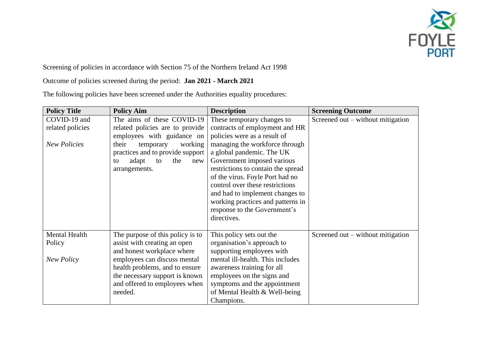

Screening of policies in accordance with Section 75 of the Northern Ireland Act 1998

Outcome of policies screened during the period: **Jan 2021 - March 2021**

The following policies have been screened under the Authorities equality procedures:

| <b>Policy Title</b>  | <b>Policy Aim</b>                | <b>Description</b>                 | <b>Screening Outcome</b>          |
|----------------------|----------------------------------|------------------------------------|-----------------------------------|
| COVID-19 and         | The aims of these COVID-19       | These temporary changes to         | Screened out – without mitigation |
| related policies     | related policies are to provide  | contracts of employment and HR     |                                   |
|                      | employees with guidance on       | policies were as a result of       |                                   |
| <b>New Policies</b>  | their<br>working<br>temporary    | managing the workforce through     |                                   |
|                      | practices and to provide support | a global pandemic. The UK          |                                   |
|                      | the<br>adapt<br>to<br>new<br>to  | Government imposed various         |                                   |
|                      | arrangements.                    | restrictions to contain the spread |                                   |
|                      |                                  | of the virus. Foyle Port had no    |                                   |
|                      |                                  | control over these restrictions    |                                   |
|                      |                                  | and had to implement changes to    |                                   |
|                      |                                  | working practices and patterns in  |                                   |
|                      |                                  | response to the Government's       |                                   |
|                      |                                  | directives.                        |                                   |
|                      |                                  |                                    |                                   |
| <b>Mental Health</b> | The purpose of this policy is to | This policy sets out the           | Screened out – without mitigation |
| Policy               | assist with creating an open     | organisation's approach to         |                                   |
|                      | and honest workplace where       | supporting employees with          |                                   |
| New Policy           | employees can discuss mental     | mental ill-health. This includes   |                                   |
|                      | health problems, and to ensure   | awareness training for all         |                                   |
|                      | the necessary support is known   | employees on the signs and         |                                   |
|                      | and offered to employees when    | symptoms and the appointment       |                                   |
|                      | needed.                          | of Mental Health & Well-being      |                                   |
|                      |                                  | Champions.                         |                                   |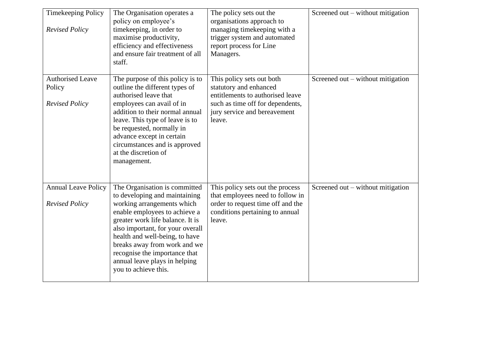| <b>Timekeeping Policy</b><br><b>Revised Policy</b>         | The Organisation operates a<br>policy on employee's<br>time keeping, in order to<br>maximise productivity,<br>efficiency and effectiveness<br>and ensure fair treatment of all<br>staff.                                                                                                                                                                          | The policy sets out the<br>organisations approach to<br>managing timekeeping with a<br>trigger system and automated<br>report process for Line<br>Managers.           | Screened out – without mitigation |
|------------------------------------------------------------|-------------------------------------------------------------------------------------------------------------------------------------------------------------------------------------------------------------------------------------------------------------------------------------------------------------------------------------------------------------------|-----------------------------------------------------------------------------------------------------------------------------------------------------------------------|-----------------------------------|
| <b>Authorised Leave</b><br>Policy<br><b>Revised Policy</b> | The purpose of this policy is to<br>outline the different types of<br>authorised leave that<br>employees can avail of in<br>addition to their normal annual<br>leave. This type of leave is to<br>be requested, normally in<br>advance except in certain<br>circumstances and is approved<br>at the discretion of<br>management.                                  | This policy sets out both<br>statutory and enhanced<br>entitlements to authorised leave<br>such as time off for dependents,<br>jury service and bereavement<br>leave. | Screened out – without mitigation |
| <b>Annual Leave Policy</b><br><b>Revised Policy</b>        | The Organisation is committed<br>to developing and maintaining<br>working arrangements which<br>enable employees to achieve a<br>greater work life balance. It is<br>also important, for your overall<br>health and well-being, to have<br>breaks away from work and we<br>recognise the importance that<br>annual leave plays in helping<br>you to achieve this. | This policy sets out the process<br>that employees need to follow in<br>order to request time off and the<br>conditions pertaining to annual<br>leave.                | Screened out – without mitigation |